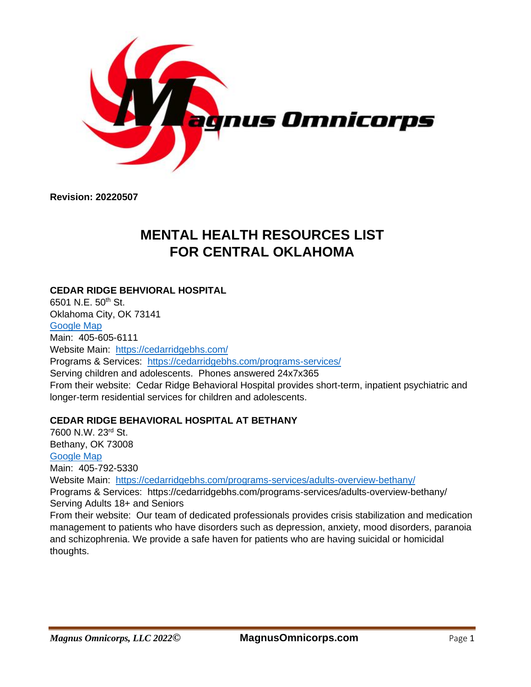

**Revision: 20220507**

# **MENTAL HEALTH RESOURCES LIST FOR CENTRAL OKLAHOMA**

# **CEDAR RIDGE BEHVIORAL HOSPITAL**

6501 N.E.  $50^{th}$  St. Oklahoma City, OK 73141 [Google Map](https://goo.gl/maps/HNZ2aX7oK2drwtsZ9) Main: 405-605-6111 Website Main: <https://cedarridgebhs.com/> Programs & Services: <https://cedarridgebhs.com/programs-services/> Serving children and adolescents. Phones answered 24x7x365 From their website: Cedar Ridge Behavioral Hospital provides short-term, inpatient psychiatric and longer-term residential services for children and adolescents.

# **CEDAR RIDGE BEHAVIORAL HOSPITAL AT BETHANY**

7600 N.W. 23rd St. Bethany, OK 73008 [Google Map](https://goo.gl/maps/j3ng2gJnPqWyemDq7) Main: 405-792-5330 Website Main: <https://cedarridgebhs.com/programs-services/adults-overview-bethany/> Programs & Services: https://cedarridgebhs.com/programs-services/adults-overview-bethany/ Serving Adults 18+ and Seniors From their website: Our team of dedicated professionals provides crisis stabilization and medication management to patients who have disorders such as depression, anxiety, mood disorders, paranoia and schizophrenia. We provide a safe haven for patients who are having suicidal or homicidal thoughts.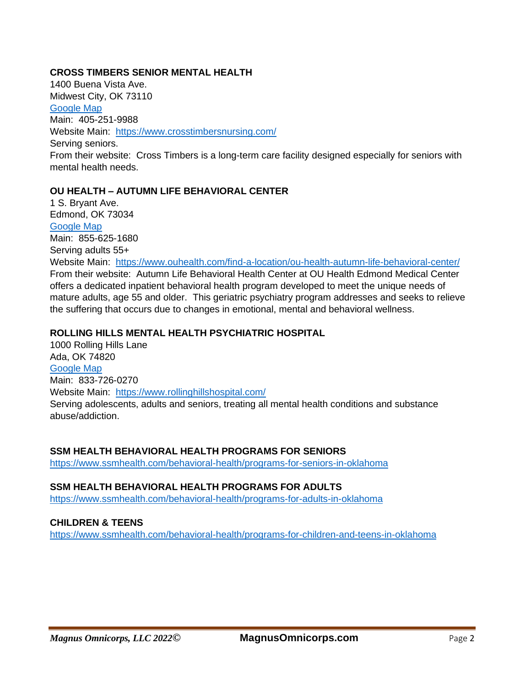#### **CROSS TIMBERS SENIOR MENTAL HEALTH**

1400 Buena Vista Ave. Midwest City, OK 73110 [Google Map](https://goo.gl/maps/MdbYzTFzZVdD8Ppr8) Main: 405-251-9988 Website Main: <https://www.crosstimbersnursing.com/> Serving seniors. From their website: Cross Timbers is a long-term care facility designed especially for seniors with mental health needs.

# **OU HEALTH – AUTUMN LIFE BEHAVIORAL CENTER**

1 S. Bryant Ave. Edmond, OK 73034 [Google Map](https://goo.gl/maps/2UfK3H7YtALA3368A) Main: 855-625-1680 Serving adults 55+ Website Main: <https://www.ouhealth.com/find-a-location/ou-health-autumn-life-behavioral-center/> From their website: Autumn Life Behavioral Health Center at OU Health Edmond Medical Center offers a dedicated inpatient behavioral health program developed to meet the unique needs of mature adults, age 55 and older. This geriatric psychiatry program addresses and seeks to relieve the suffering that occurs due to changes in emotional, mental and behavioral wellness.

#### **ROLLING HILLS MENTAL HEALTH PSYCHIATRIC HOSPITAL**

1000 Rolling Hills Lane Ada, OK 74820 [Google Map](https://goo.gl/maps/VW4BEHSxZ9Jz1kuXA) Main: 833-726-0270 Website Main: <https://www.rollinghillshospital.com/> Serving adolescents, adults and seniors, treating all mental health conditions and substance abuse/addiction.

#### **SSM HEALTH BEHAVIORAL HEALTH PROGRAMS FOR SENIORS**

<https://www.ssmhealth.com/behavioral-health/programs-for-seniors-in-oklahoma>

#### **SSM HEALTH BEHAVIORAL HEALTH PROGRAMS FOR ADULTS**

<https://www.ssmhealth.com/behavioral-health/programs-for-adults-in-oklahoma>

#### **CHILDREN & TEENS**

<https://www.ssmhealth.com/behavioral-health/programs-for-children-and-teens-in-oklahoma>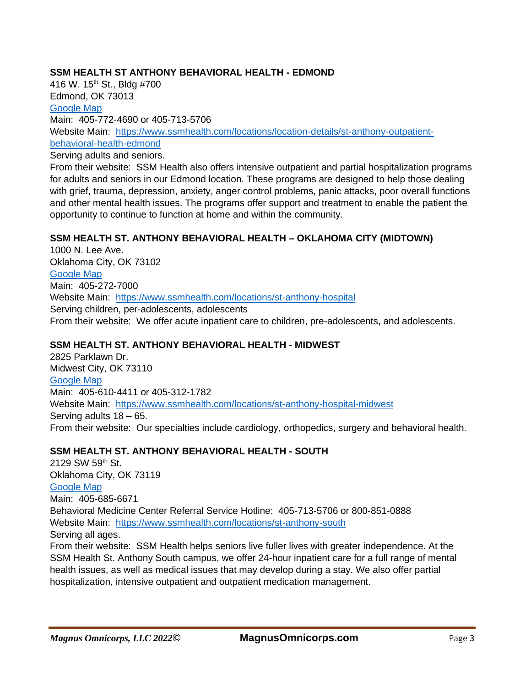#### **SSM HEALTH ST ANTHONY BEHAVIORAL HEALTH - EDMOND**

416 W. 15<sup>th</sup> St., Bldg #700 Edmond, OK 73013 [Google Map](https://www.ssmhealth.com/locations/location-details/st-anthony-outpatient-behavioral-health-edmond)

Main: 405-772-4690 or 405-713-5706 Website Main: [https://www.ssmhealth.com/locations/location-details/st-anthony-outpatient](https://www.ssmhealth.com/locations/location-details/st-anthony-outpatient-behavioral-health-edmond)[behavioral-health-edmond](https://www.ssmhealth.com/locations/location-details/st-anthony-outpatient-behavioral-health-edmond)

Serving adults and seniors.

From their website: SSM Health also offers intensive outpatient and partial hospitalization programs for adults and seniors in our [Edmond location.](https://www.ssmhealth.com/locations/location-details/st-anthony-outpatient-behavioral-health-edmond) These programs are designed to help those dealing with grief, trauma, depression, anxiety, anger control problems, panic attacks, poor overall functions and other mental health issues. The programs offer support and treatment to enable the patient the opportunity to continue to function at home and within the community.

#### **SSM HEALTH ST. ANTHONY BEHAVIORAL HEALTH – OKLAHOMA CITY (MIDTOWN)**

1000 N. Lee Ave. Oklahoma City, OK 73102 [Google Map](https://goo.gl/maps/PkH4Km3czr6us6Vt8) Main: 405-272-7000 Website Main: <https://www.ssmhealth.com/locations/st-anthony-hospital> Serving children, per-adolescents, adolescents From their website: We offer acute inpatient care to children, pre-adolescents, and adolescents.

# **SSM HEALTH ST. ANTHONY BEHAVIORAL HEALTH - MIDWEST**

2825 Parklawn Dr. Midwest City, OK 73110 [Google Map](https://goo.gl/maps/QrkpfdCKJqsiczFo7) Main: 405-610-4411 or 405-312-1782 Website Main: <https://www.ssmhealth.com/locations/st-anthony-hospital-midwest> Serving adults 18 – 65. From their website: Our specialties include cardiology, orthopedics, surgery and behavioral health.

# **SSM HEALTH ST. ANTHONY BEHAVIORAL HEALTH - SOUTH**

2129 SW 59th St. Oklahoma City, OK 73119 [Google Map](https://goo.gl/maps/1SFBCMkD4DaPQSky9) Main: 405-685-6671 Behavioral Medicine Center Referral Service Hotline: 405-713-5706 or 800-851-0888 Website Main: <https://www.ssmhealth.com/locations/st-anthony-south> Serving all ages.

From their website: SSM Health helps seniors live fuller lives with greater independence. At the [SSM Health St. Anthony South](https://www.ssmhealth.com/locations/st-anthony-south) campus, we offer 24-hour inpatient care for a full range of mental health issues, as well as medical issues that may develop during a stay. We also offer partial hospitalization, intensive outpatient and outpatient medication management.